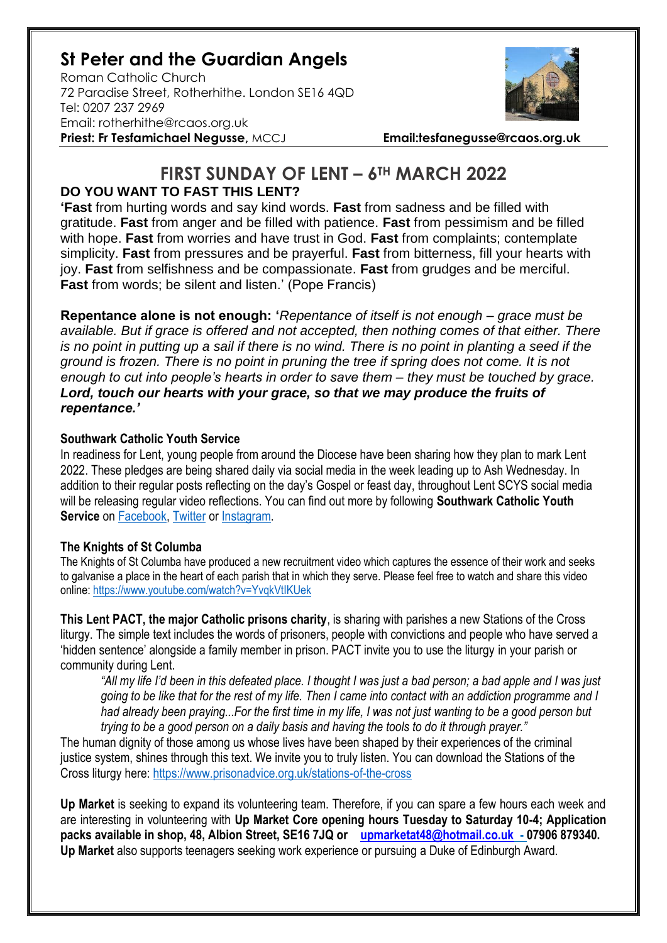# **St Peter and the Guardian Angels**

Roman Catholic Church 72 Paradise Street, Rotherhithe. London SE16 4QD [Tel: 0207](tel:0207) 237 2969 Email: rotherhithe@rcaos.org.uk **Priest: Fr Tesfamichael Negusse,** MCCJ **Email:tesfanegusse@rcaos.org.uk**



# **FIRST SUNDAY OF LENT – 6TH MARCH 2022 DO YOU WANT TO FAST THIS LENT?**

**'Fast** from hurting words and say kind words. **Fast** from sadness and be filled with gratitude. **Fast** from anger and be filled with patience. **Fast** from pessimism and be filled with hope. **Fast** from worries and have trust in God. **Fast** from complaints; contemplate simplicity. **Fast** from pressures and be prayerful. **Fast** from bitterness, fill your hearts with joy. **Fast** from selfishness and be compassionate. **Fast** from grudges and be merciful. **Fast** from words; be silent and listen.' (Pope Francis)

**Repentance alone is not enough: '***Repentance of itself is not enough – grace must be available. But if grace is offered and not accepted, then nothing comes of that either. There is no point in putting up a sail if there is no wind. There is no point in planting a seed if the ground is frozen. There is no point in pruning the tree if spring does not come. It is not enough to cut into people's hearts in order to save them – they must be touched by grace. Lord, touch our hearts with your grace, so that we may produce the fruits of repentance.'*

## **Southwark Catholic Youth Service**

In readiness for Lent, young people from around the Diocese have been sharing how they plan to mark Lent 2022. These pledges are being shared daily via social media in the week leading up to Ash Wednesday. In addition to their regular posts reflecting on the day's Gospel or feast day, throughout Lent SCYS social media will be releasing regular video reflections. You can find out more by following **Southwark Catholic Youth Service** on [Facebook,](https://www.facebook.com/scys.uk) [Twitter](https://twitter.com/SCYS1) or [Instagram.](https://www.instagram.com/scys1/)

### **The Knights of St Columba**

The Knights of St Columba have produced a new recruitment video which captures the essence of their work and seeks to galvanise a place in the heart of each parish that in which they serve. Please feel free to watch and share this video online:<https://www.youtube.com/watch?v=YvqkVtIKUek>

**This Lent PACT, the major Catholic prisons charity**, is sharing with parishes a new Stations of the Cross liturgy. The simple text includes the words of prisoners, people with convictions and people who have served a 'hidden sentence' alongside a family member in prison. PACT invite you to use the liturgy in your parish or community during Lent.

*"All my life I'd been in this defeated place. I thought I was just a bad person; a bad apple and I was just going to be like that for the rest of my life. Then I came into contact with an addiction programme and I had already been praying...For the first time in my life, I was not just wanting to be a good person but trying to be a good person on a daily basis and having the tools to do it through prayer."*

The human dignity of those among us whose lives have been shaped by their experiences of the criminal justice system, shines through this text. We invite you to truly listen. You can download the Stations of the Cross liturgy here:<https://www.prisonadvice.org.uk/stations-of-the-cross>

**Up Market** is seeking to expand its volunteering team. Therefore, if you can spare a few hours each week and are interesting in volunteering with **Up Market Core opening hours Tuesday to Saturday 10-4; Application packs available in shop, 48, Albion Street, SE16 7JQ or [upmarketat48@hotmail.co.uk](mailto:upmarketat48@hotmail.co.uk) - 07906 879340. Up Market** also supports teenagers seeking work experience or pursuing a Duke of Edinburgh Award.